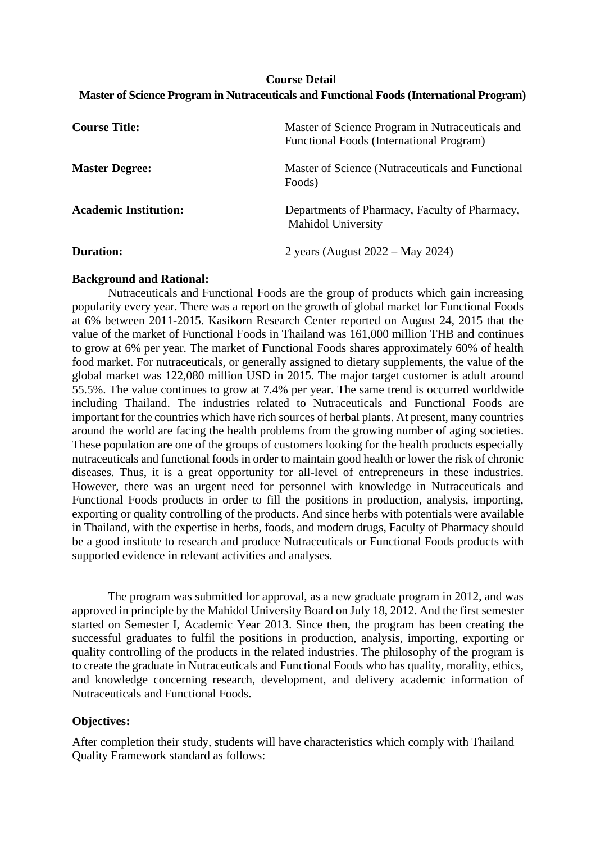# **Course Detail Master of Science Program in Nutraceuticals and Functional Foods (International Program)**

| <b>Course Title:</b>         | Master of Science Program in Nutraceuticals and<br>Functional Foods (International Program) |
|------------------------------|---------------------------------------------------------------------------------------------|
| <b>Master Degree:</b>        | Master of Science (Nutraceuticals and Functional<br>Foods)                                  |
| <b>Academic Institution:</b> | Departments of Pharmacy, Faculty of Pharmacy,<br>Mahidol University                         |
| <b>Duration:</b>             | 2 years (August $2022 - May 2024$ )                                                         |

## **Background and Rational:**

Nutraceuticals and Functional Foods are the group of products which gain increasing popularity every year. There was a report on the growth of global market for Functional Foods at 6% between 2011-2015. Kasikorn Research Center reported on August 24, 2015 that the value of the market of Functional Foods in Thailand was 161,000 million THB and continues to grow at 6% per year. The market of Functional Foods shares approximately 60% of health food market. For nutraceuticals, or generally assigned to dietary supplements, the value of the global market was 122,080 million USD in 2015. The major target customer is adult around 55.5%. The value continues to grow at 7.4% per year. The same trend is occurred worldwide including Thailand. The industries related to Nutraceuticals and Functional Foods are important for the countries which have rich sources of herbal plants. At present, many countries around the world are facing the health problems from the growing number of aging societies. These population are one of the groups of customers looking for the health products especially nutraceuticals and functional foods in order to maintain good health or lower the risk of chronic diseases. Thus, it is a great opportunity for all-level of entrepreneurs in these industries. However, there was an urgent need for personnel with knowledge in Nutraceuticals and Functional Foods products in order to fill the positions in production, analysis, importing, exporting or quality controlling of the products. And since herbs with potentials were available in Thailand, with the expertise in herbs, foods, and modern drugs, Faculty of Pharmacy should be a good institute to research and produce Nutraceuticals or Functional Foods products with supported evidence in relevant activities and analyses.

The program was submitted for approval, as a new graduate program in 2012, and was approved in principle by the Mahidol University Board on July 18, 2012. And the first semester started on Semester I, Academic Year 2013. Since then, the program has been creating the successful graduates to fulfil the positions in production, analysis, importing, exporting or quality controlling of the products in the related industries. The philosophy of the program is to create the graduate in Nutraceuticals and Functional Foods who has quality, morality, ethics, and knowledge concerning research, development, and delivery academic information of Nutraceuticals and Functional Foods.

# **Objectives:**

After completion their study, students will have characteristics which comply with Thailand Quality Framework standard as follows: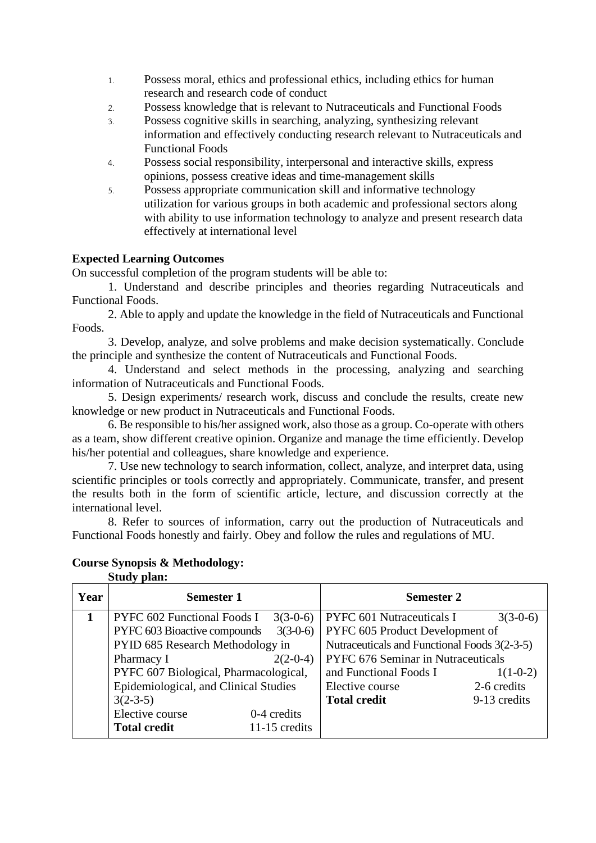- 1. Possess moral, ethics and professional ethics, including ethics for human research and research code of conduct
- 2. Possess knowledge that is relevant to Nutraceuticals and Functional Foods
- 3. Possess cognitive skills in searching, analyzing, synthesizing relevant information and effectively conducting research relevant to Nutraceuticals and Functional Foods
- 4. Possess social responsibility, interpersonal and interactive skills, express opinions, possess creative ideas and time-management skills
- 5. Possess appropriate communication skill and informative technology utilization for various groups in both academic and professional sectors along with ability to use information technology to analyze and present research data effectively at international level

# **Expected Learning Outcomes**

On successful completion of the program students will be able to:

1. Understand and describe principles and theories regarding Nutraceuticals and Functional Foods.

2. Able to apply and update the knowledge in the field of Nutraceuticals and Functional Foods.

3. Develop, analyze, and solve problems and make decision systematically. Conclude the principle and synthesize the content of Nutraceuticals and Functional Foods.

4. Understand and select methods in the processing, analyzing and searching information of Nutraceuticals and Functional Foods.

5. Design experiments/ research work, discuss and conclude the results, create new knowledge or new product in Nutraceuticals and Functional Foods.

6. Be responsible to his/her assigned work, also those as a group. Co-operate with others as a team, show different creative opinion. Organize and manage the time efficiently. Develop his/her potential and colleagues, share knowledge and experience.

7. Use new technology to search information, collect, analyze, and interpret data, using scientific principles or tools correctly and appropriately. Communicate, transfer, and present the results both in the form of scientific article, lecture, and discussion correctly at the international level.

8. Refer to sources of information, carry out the production of Nutraceuticals and Functional Foods honestly and fairly. Obey and follow the rules and regulations of MU.

| <b>Course Synopsis &amp; Methodology:</b> |  |
|-------------------------------------------|--|
| <b>Study plan:</b>                        |  |
|                                           |  |

| Year | <b>Semester 1</b>                     |               | <b>Semester 2</b>                            |              |
|------|---------------------------------------|---------------|----------------------------------------------|--------------|
|      | <b>PYFC 602 Functional Foods I</b>    | $3(3-0-6)$    | PYFC 601 Nutraceuticals I                    | $3(3-0-6)$   |
|      | PYFC 603 Bioactive compounds          | $3(3-0-6)$    | PYFC 605 Product Development of              |              |
|      | PYID 685 Research Methodology in      |               | Nutraceuticals and Functional Foods 3(2-3-5) |              |
|      | Pharmacy I                            | $2(2-0-4)$    | PYFC 676 Seminar in Nutraceuticals           |              |
|      | PYFC 607 Biological, Pharmacological, |               | and Functional Foods I                       | $1(1-0-2)$   |
|      | Epidemiological, and Clinical Studies |               | Elective course                              | 2-6 credits  |
|      | $3(2-3-5)$                            |               | <b>Total credit</b>                          | 9-13 credits |
|      | Elective course                       | 0-4 credits   |                                              |              |
|      | <b>Total credit</b>                   | 11-15 credits |                                              |              |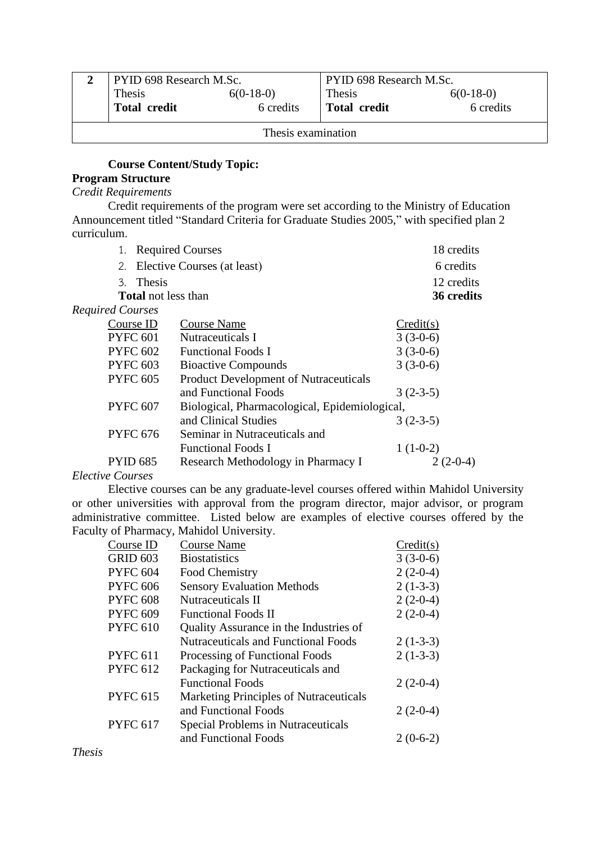|                    | <b>PYID 698 Research M.Sc.</b> |             | PYID 698 Research M.Sc. |             |
|--------------------|--------------------------------|-------------|-------------------------|-------------|
|                    | Thesis                         | $6(0-18-0)$ | Thesis                  | $6(0-18-0)$ |
|                    | <b>Total credit</b>            | 6 credits   | <b>Total credit</b>     | 6 credits   |
| Thesis examination |                                |             |                         |             |

# **Course Content/Study Topic:**

## **Program Structure**

# *Credit Requirements*

Credit requirements of the program were set according to the Ministry of Education Announcement titled "Standard Criteria for Graduate Studies 2005," with specified plan 2 curriculum.

|                                                                  |                            | 1. Required Courses                          | 18 credits |
|------------------------------------------------------------------|----------------------------|----------------------------------------------|------------|
| Elective Courses (at least)<br>2.                                |                            | 6 credits                                    |            |
|                                                                  | 3. Thesis                  |                                              | 12 credits |
|                                                                  | <b>Total</b> not less than |                                              | 36 credits |
| Required Courses                                                 |                            |                                              |            |
|                                                                  | Course ID                  | <b>Course Name</b>                           | Credit(s)  |
|                                                                  | <b>PYFC 601</b>            | Nutraceuticals I                             | $3(3-0-6)$ |
|                                                                  | <b>PYFC 602</b>            | <b>Functional Foods I</b>                    | $3(3-0-6)$ |
|                                                                  | <b>PYFC 603</b>            | <b>Bioactive Compounds</b>                   | $3(3-0-6)$ |
|                                                                  | <b>PYFC 605</b>            | <b>Product Development of Nutraceuticals</b> |            |
|                                                                  |                            | and Functional Foods                         | $3(2-3-5)$ |
| <b>PYFC 607</b><br>Biological, Pharmacological, Epidemiological, |                            |                                              |            |
|                                                                  |                            | and Clinical Studies                         | $3(2-3-5)$ |
|                                                                  | <b>PYFC 676</b>            | Seminar in Nutraceuticals and                |            |
|                                                                  |                            | <b>Functional Foods I</b>                    | $1(1-0-2)$ |
|                                                                  | <b>PYID 685</b>            | Research Methodology in Pharmacy I           | $2(2-0-4)$ |

## *Elective Courses*

Elective courses can be any graduate-level courses offered within Mahidol University or other universities with approval from the program director, major advisor, or program administrative committee. Listed below are examples of elective courses offered by the Faculty of Pharmacy, Mahidol University.

| Course ID       | <b>Course Name</b>                         | Credit(s)  |
|-----------------|--------------------------------------------|------------|
| <b>GRID 603</b> | <b>Biostatistics</b>                       | $3(3-0-6)$ |
| <b>PYFC 604</b> | Food Chemistry                             | $2(2-0-4)$ |
| <b>PYFC 606</b> | <b>Sensory Evaluation Methods</b>          | $2(1-3-3)$ |
| <b>PYFC 608</b> | Nutraceuticals II                          | $2(2-0-4)$ |
| <b>PYFC 609</b> | <b>Functional Foods II</b>                 | $2(2-0-4)$ |
| <b>PYFC 610</b> | Quality Assurance in the Industries of     |            |
|                 | <b>Nutraceuticals and Functional Foods</b> | $2(1-3-3)$ |
| <b>PYFC 611</b> | Processing of Functional Foods             | $2(1-3-3)$ |
| <b>PYFC 612</b> | Packaging for Nutraceuticals and           |            |
|                 | <b>Functional Foods</b>                    | $2(2-0-4)$ |
| <b>PYFC 615</b> | Marketing Principles of Nutraceuticals     |            |
|                 | and Functional Foods                       | $2(2-0-4)$ |
| <b>PYFC 617</b> | Special Problems in Nutraceuticals         |            |
|                 | and Functional Foods                       | $2(0-6-2)$ |

*Thesis*